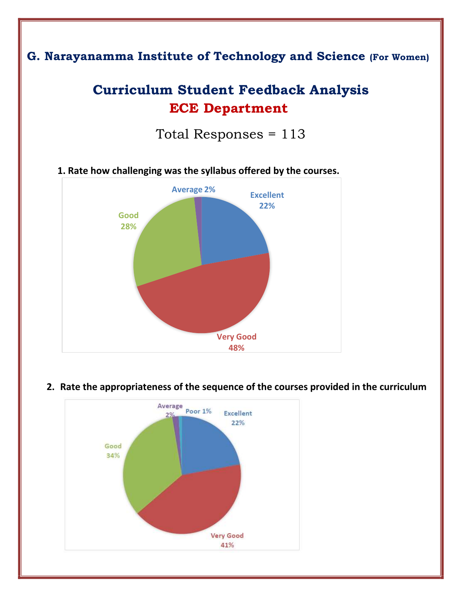## **G. Narayanamma Institute of Technology and Science (For Women)**

## **Curriculum Student Feedback Analysis ECE Department**

Total Responses = 113



**1. Rate how challenging was the syllabus offered by the courses.** 

### **2. Rate the appropriateness of the sequence of the courses provided in the curriculum**

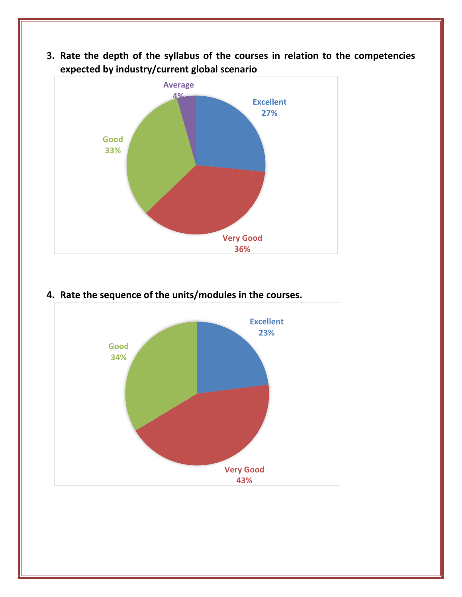## **3. Rate the depth of the syllabus of the courses in relation to the competencies expected by industry/current global scenario**



# **4. Rate the sequence of the units/modules in the courses.**

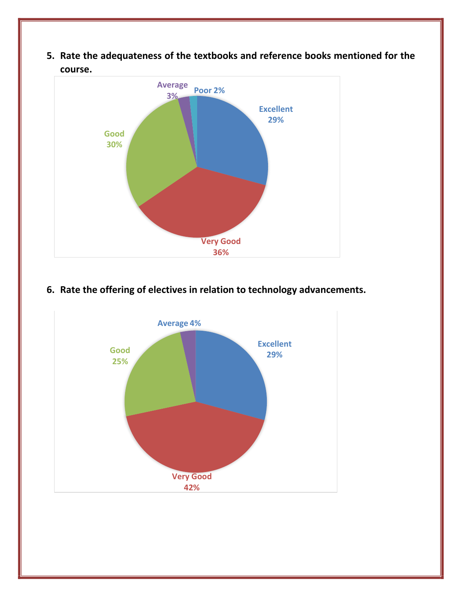**5. Rate the adequateness of the textbooks and reference books mentioned for the course.** 



### **6. Rate the offering of electives in relation to technology advancements.**

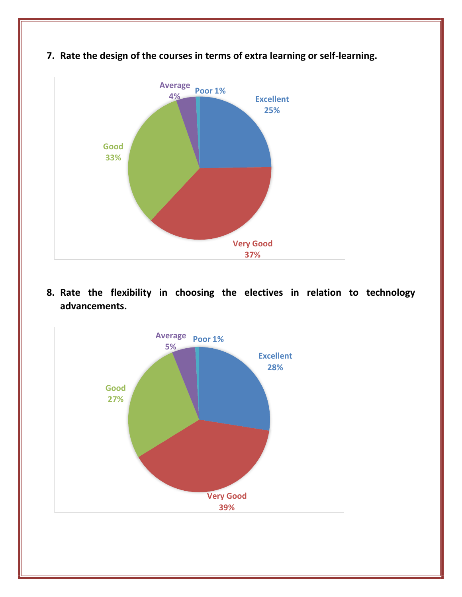

**7. Rate the design of the courses in terms of extra learning or self-learning.** 

**8. Rate the flexibility in choosing the electives in relation to technology advancements.** 

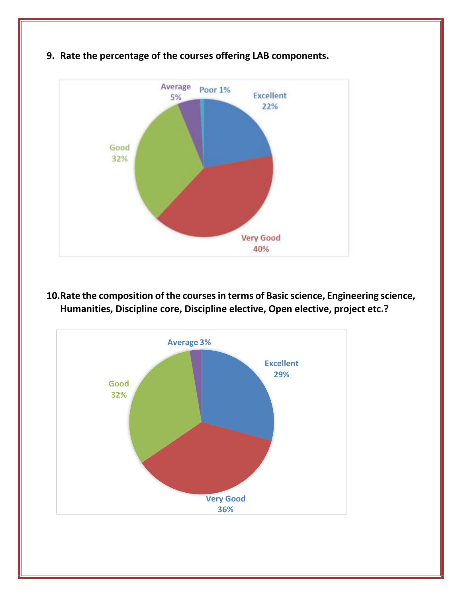

**9. Rate the percentage of the courses offering LAB components.** 

**10.Rate the composition of the courses in terms of Basic science, Engineering science, Humanities, Discipline core, Discipline elective, Open elective, project etc.?**